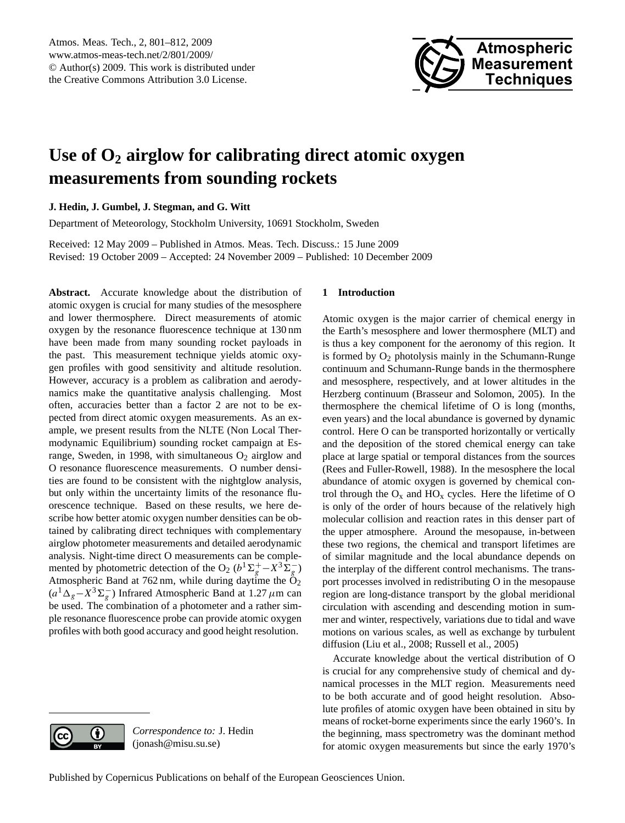

# <span id="page-0-0"></span>**Use of O<sup>2</sup> airglow for calibrating direct atomic oxygen measurements from sounding rockets**

**J. Hedin, J. Gumbel, J. Stegman, and G. Witt**

Department of Meteorology, Stockholm University, 10691 Stockholm, Sweden

Received: 12 May 2009 – Published in Atmos. Meas. Tech. Discuss.: 15 June 2009 Revised: 19 October 2009 – Accepted: 24 November 2009 – Published: 10 December 2009

**Abstract.** Accurate knowledge about the distribution of atomic oxygen is crucial for many studies of the mesosphere and lower thermosphere. Direct measurements of atomic oxygen by the resonance fluorescence technique at 130 nm have been made from many sounding rocket payloads in the past. This measurement technique yields atomic oxygen profiles with good sensitivity and altitude resolution. However, accuracy is a problem as calibration and aerodynamics make the quantitative analysis challenging. Most often, accuracies better than a factor 2 are not to be expected from direct atomic oxygen measurements. As an example, we present results from the NLTE (Non Local Thermodynamic Equilibrium) sounding rocket campaign at Esrange, Sweden, in 1998, with simultaneous  $O_2$  airglow and O resonance fluorescence measurements. O number densities are found to be consistent with the nightglow analysis, but only within the uncertainty limits of the resonance fluorescence technique. Based on these results, we here describe how better atomic oxygen number densities can be obtained by calibrating direct techniques with complementary airglow photometer measurements and detailed aerodynamic analysis. Night-time direct O measurements can be complemented by photometric detection of the O<sub>2</sub> ( $b^1\Sigma_g^+ - X^3 \Sigma_g^-$ ) Atmospheric Band at 762 nm, while during daytime the  $O_2$  $(a^1\Delta_g - X^3\Sigma_g^-)$  Infrared Atmospheric Band at 1.27  $\mu$ m can be used. The combination of a photometer and a rather simple resonance fluorescence probe can provide atomic oxygen profiles with both good accuracy and good height resolution.

## **1 Introduction**

Atomic oxygen is the major carrier of chemical energy in the Earth's mesosphere and lower thermosphere (MLT) and is thus a key component for the aeronomy of this region. It is formed by  $O_2$  photolysis mainly in the Schumann-Runge continuum and Schumann-Runge bands in the thermosphere and mesosphere, respectively, and at lower altitudes in the Herzberg continuum (Brasseur and Solomon, 2005). In the thermosphere the chemical lifetime of O is long (months, even years) and the local abundance is governed by dynamic control. Here O can be transported horizontally or vertically and the deposition of the stored chemical energy can take place at large spatial or temporal distances from the sources (Rees and Fuller-Rowell, 1988). In the mesosphere the local abundance of atomic oxygen is governed by chemical control through the  $O_x$  and  $HO_x$  cycles. Here the lifetime of O is only of the order of hours because of the relatively high molecular collision and reaction rates in this denser part of the upper atmosphere. Around the mesopause, in-between these two regions, the chemical and transport lifetimes are of similar magnitude and the local abundance depends on the interplay of the different control mechanisms. The transport processes involved in redistributing O in the mesopause region are long-distance transport by the global meridional circulation with ascending and descending motion in summer and winter, respectively, variations due to tidal and wave motions on various scales, as well as exchange by turbulent diffusion (Liu et al., 2008; Russell et al., 2005)

Accurate knowledge about the vertical distribution of O is crucial for any comprehensive study of chemical and dynamical processes in the MLT region. Measurements need to be both accurate and of good height resolution. Absolute profiles of atomic oxygen have been obtained in situ by means of rocket-borne experiments since the early 1960's. In the beginning, mass spectrometry was the dominant method for atomic oxygen measurements but since the early 1970's



*Correspondence to:* J. Hedin (jonash@misu.su.se)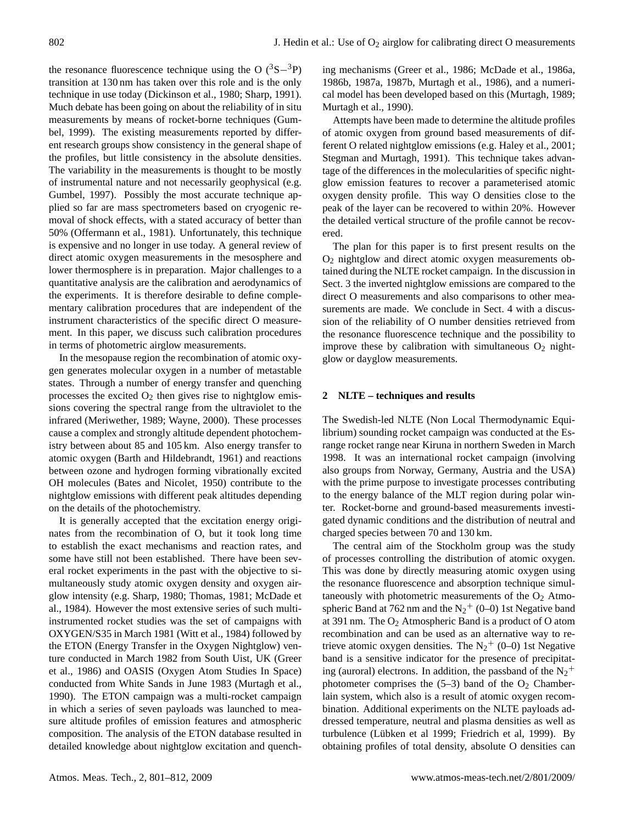the resonance fluorescence technique using the O  $(^{3}S-^{3}P)$ transition at 130 nm has taken over this role and is the only technique in use today (Dickinson et al., 1980; Sharp, 1991). Much debate has been going on about the reliability of in situ measurements by means of rocket-borne techniques (Gumbel, 1999). The existing measurements reported by different research groups show consistency in the general shape of the profiles, but little consistency in the absolute densities. The variability in the measurements is thought to be mostly of instrumental nature and not necessarily geophysical (e.g. Gumbel, 1997). Possibly the most accurate technique applied so far are mass spectrometers based on cryogenic removal of shock effects, with a stated accuracy of better than 50% (Offermann et al., 1981). Unfortunately, this technique is expensive and no longer in use today. A general review of direct atomic oxygen measurements in the mesosphere and lower thermosphere is in preparation. Major challenges to a quantitative analysis are the calibration and aerodynamics of the experiments. It is therefore desirable to define complementary calibration procedures that are independent of the instrument characteristics of the specific direct O measurement. In this paper, we discuss such calibration procedures in terms of photometric airglow measurements.

In the mesopause region the recombination of atomic oxygen generates molecular oxygen in a number of metastable states. Through a number of energy transfer and quenching processes the excited  $O_2$  then gives rise to nightglow emissions covering the spectral range from the ultraviolet to the infrared (Meriwether, 1989; Wayne, 2000). These processes cause a complex and strongly altitude dependent photochemistry between about 85 and 105 km. Also energy transfer to atomic oxygen (Barth and Hildebrandt, 1961) and reactions between ozone and hydrogen forming vibrationally excited OH molecules (Bates and Nicolet, 1950) contribute to the nightglow emissions with different peak altitudes depending on the details of the photochemistry.

It is generally accepted that the excitation energy originates from the recombination of O, but it took long time to establish the exact mechanisms and reaction rates, and some have still not been established. There have been several rocket experiments in the past with the objective to simultaneously study atomic oxygen density and oxygen airglow intensity (e.g. Sharp, 1980; Thomas, 1981; McDade et al., 1984). However the most extensive series of such multiinstrumented rocket studies was the set of campaigns with OXYGEN/S35 in March 1981 (Witt et al., 1984) followed by the ETON (Energy Transfer in the Oxygen Nightglow) venture conducted in March 1982 from South Uist, UK (Greer et al., 1986) and OASIS (Oxygen Atom Studies In Space) conducted from White Sands in June 1983 (Murtagh et al., 1990). The ETON campaign was a multi-rocket campaign in which a series of seven payloads was launched to measure altitude profiles of emission features and atmospheric composition. The analysis of the ETON database resulted in detailed knowledge about nightglow excitation and quench-

ing mechanisms (Greer et al., 1986; McDade et al., 1986a, 1986b, 1987a, 1987b, Murtagh et al., 1986), and a numerical model has been developed based on this (Murtagh, 1989; Murtagh et al., 1990).

Attempts have been made to determine the altitude profiles of atomic oxygen from ground based measurements of different O related nightglow emissions (e.g. Haley et al., 2001; Stegman and Murtagh, 1991). This technique takes advantage of the differences in the molecularities of specific nightglow emission features to recover a parameterised atomic oxygen density profile. This way O densities close to the peak of the layer can be recovered to within 20%. However the detailed vertical structure of the profile cannot be recovered.

The plan for this paper is to first present results on the  $O<sub>2</sub>$  nightglow and direct atomic oxygen measurements obtained during the NLTE rocket campaign. In the discussion in Sect. 3 the inverted nightglow emissions are compared to the direct O measurements and also comparisons to other measurements are made. We conclude in Sect. 4 with a discussion of the reliability of O number densities retrieved from the resonance fluorescence technique and the possibility to improve these by calibration with simultaneous  $O_2$  nightglow or dayglow measurements.

## **2 NLTE – techniques and results**

The Swedish-led NLTE (Non Local Thermodynamic Equilibrium) sounding rocket campaign was conducted at the Esrange rocket range near Kiruna in northern Sweden in March 1998. It was an international rocket campaign (involving also groups from Norway, Germany, Austria and the USA) with the prime purpose to investigate processes contributing to the energy balance of the MLT region during polar winter. Rocket-borne and ground-based measurements investigated dynamic conditions and the distribution of neutral and charged species between 70 and 130 km.

The central aim of the Stockholm group was the study of processes controlling the distribution of atomic oxygen. This was done by directly measuring atomic oxygen using the resonance fluorescence and absorption technique simultaneously with photometric measurements of the  $O<sub>2</sub>$  Atmospheric Band at  $762$  nm and the  $N_2$ <sup>+</sup> (0–0) 1st Negative band at 391 nm. The  $O_2$  Atmospheric Band is a product of O atom recombination and can be used as an alternative way to retrieve atomic oxygen densities. The  $N_2^+$  (0–0) 1st Negative band is a sensitive indicator for the presence of precipitating (auroral) electrons. In addition, the passband of the  $N_2$ <sup>+</sup> photometer comprises the  $(5-3)$  band of the  $O<sub>2</sub>$  Chamberlain system, which also is a result of atomic oxygen recombination. Additional experiments on the NLTE payloads addressed temperature, neutral and plasma densities as well as turbulence (Lübken et al 1999; Friedrich et al, 1999). By obtaining profiles of total density, absolute O densities can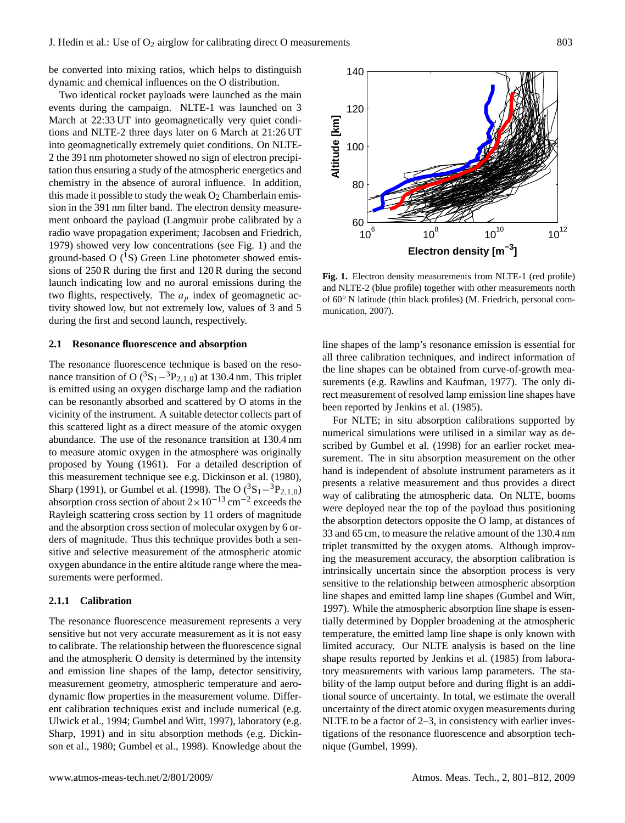be converted into mixing ratios, which helps to distinguish dynamic and chemical influences on the O distribution.

Two identical rocket payloads were launched as the main events during the campaign. NLTE-1 was launched on 3 March at 22:33 UT into geomagnetically very quiet conditions and NLTE-2 three days later on 6 March at 21:26 UT into geomagnetically extremely quiet conditions. On NLTE-2 the 391 nm photometer showed no sign of electron precipitation thus ensuring a study of the atmospheric energetics and chemistry in the absence of auroral influence. In addition, this made it possible to study the weak  $O_2$  Chamberlain emission in the 391 nm filter band. The electron density measurement onboard the payload (Langmuir probe calibrated by a radio wave propagation experiment; Jacobsen and Friedrich, 1979) showed very low concentrations (see Fig. 1) and the ground-based O  $(^1S)$  Green Line photometer showed emissions of 250 R during the first and 120 R during the second launch indicating low and no auroral emissions during the two flights, respectively. The  $a<sub>p</sub>$  index of geomagnetic activity showed low, but not extremely low, values of 3 and 5 during the first and second launch, respectively.

## **2.1 Resonance fluorescence and absorption**

The resonance fluorescence technique is based on the resonance transition of O ( ${}^{3}S_{1} - {}^{3}P_{2,1,0}$ ) at 130.4 nm. This triplet is emitted using an oxygen discharge lamp and the radiation can be resonantly absorbed and scattered by O atoms in the vicinity of the instrument. A suitable detector collects part of this scattered light as a direct measure of the atomic oxygen abundance. The use of the resonance transition at 130.4 nm to measure atomic oxygen in the atmosphere was originally proposed by Young (1961). For a detailed description of this measurement technique see e.g. Dickinson et al. (1980), Sharp (1991), or Gumbel et al. (1998). The O  $({}^{3}S_{1} - {}^{3}P_{2,1,0})$ absorption cross section of about  $2 \times 10^{-13}$  cm<sup>-2</sup> exceeds the Rayleigh scattering cross section by 11 orders of magnitude and the absorption cross section of molecular oxygen by 6 orders of magnitude. Thus this technique provides both a sensitive and selective measurement of the atmospheric atomic oxygen abundance in the entire altitude range where the measurements were performed.

#### **2.1.1 Calibration**

The resonance fluorescence measurement represents a very sensitive but not very accurate measurement as it is not easy to calibrate. The relationship between the fluorescence signal and the atmospheric O density is determined by the intensity and emission line shapes of the lamp, detector sensitivity, measurement geometry, atmospheric temperature and aerodynamic flow properties in the measurement volume. Different calibration techniques exist and include numerical (e.g. Ulwick et al., 1994; Gumbel and Witt, 1997), laboratory (e.g. Sharp, 1991) and in situ absorption methods (e.g. Dickinson et al., 1980; Gumbel et al., 1998). Knowledge about the



**Fig. 1.** Electron density measurements from NLTE-1 (red profile) and NLTE-2 (blue profile) together with other measurements north of 60◦ N latitude (thin black profiles) (M. Friedrich, personal communication, 2007).

line shapes of the lamp's resonance emission is essential for all three calibration techniques, and indirect information of the line shapes can be obtained from curve-of-growth measurements (e.g. Rawlins and Kaufman, 1977). The only direct measurement of resolved lamp emission line shapes have been reported by Jenkins et al. (1985).

For NLTE; in situ absorption calibrations supported by numerical simulations were utilised in a similar way as described by Gumbel et al. (1998) for an earlier rocket measurement. The in situ absorption measurement on the other hand is independent of absolute instrument parameters as it presents a relative measurement and thus provides a direct way of calibrating the atmospheric data. On NLTE, booms were deployed near the top of the payload thus positioning the absorption detectors opposite the O lamp, at distances of 33 and 65 cm, to measure the relative amount of the 130.4 nm triplet transmitted by the oxygen atoms. Although improving the measurement accuracy, the absorption calibration is intrinsically uncertain since the absorption process is very sensitive to the relationship between atmospheric absorption line shapes and emitted lamp line shapes (Gumbel and Witt, 1997). While the atmospheric absorption line shape is essentially determined by Doppler broadening at the atmospheric temperature, the emitted lamp line shape is only known with limited accuracy. Our NLTE analysis is based on the line shape results reported by Jenkins et al. (1985) from laboratory measurements with various lamp parameters. The stability of the lamp output before and during flight is an additional source of uncertainty. In total, we estimate the overall uncertainty of the direct atomic oxygen measurements during NLTE to be a factor of 2–3, in consistency with earlier investigations of the resonance fluorescence and absorption technique (Gumbel, 1999).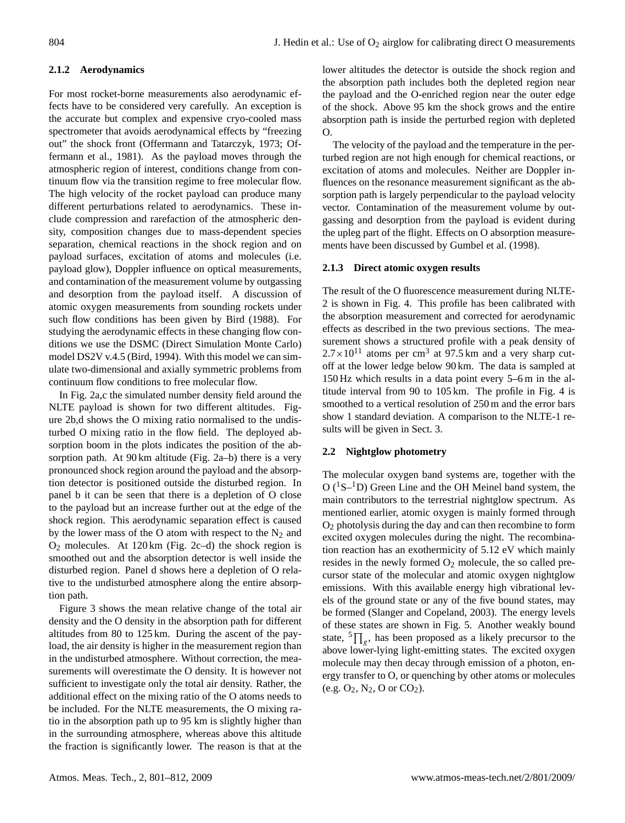# **2.1.2 Aerodynamics**

For most rocket-borne measurements also aerodynamic effects have to be considered very carefully. An exception is the accurate but complex and expensive cryo-cooled mass spectrometer that avoids aerodynamical effects by "freezing out" the shock front (Offermann and Tatarczyk, 1973; Offermann et al., 1981). As the payload moves through the atmospheric region of interest, conditions change from continuum flow via the transition regime to free molecular flow. The high velocity of the rocket payload can produce many different perturbations related to aerodynamics. These include compression and rarefaction of the atmospheric density, composition changes due to mass-dependent species separation, chemical reactions in the shock region and on payload surfaces, excitation of atoms and molecules (i.e. payload glow), Doppler influence on optical measurements, and contamination of the measurement volume by outgassing and desorption from the payload itself. A discussion of atomic oxygen measurements from sounding rockets under such flow conditions has been given by Bird (1988). For studying the aerodynamic effects in these changing flow conditions we use the DSMC (Direct Simulation Monte Carlo) model DS2V v.4.5 (Bird, 1994). With this model we can simulate two-dimensional and axially symmetric problems from continuum flow conditions to free molecular flow.

In Fig. 2a,c the simulated number density field around the NLTE payload is shown for two different altitudes. Figure 2b,d shows the O mixing ratio normalised to the undisturbed O mixing ratio in the flow field. The deployed absorption boom in the plots indicates the position of the absorption path. At  $90 \text{ km}$  altitude (Fig. 2a–b) there is a very pronounced shock region around the payload and the absorption detector is positioned outside the disturbed region. In panel b it can be seen that there is a depletion of O close to the payload but an increase further out at the edge of the shock region. This aerodynamic separation effect is caused by the lower mass of the O atom with respect to the  $N_2$  and  $O_2$  molecules. At 120 km (Fig. 2c–d) the shock region is smoothed out and the absorption detector is well inside the disturbed region. Panel d shows here a depletion of O relative to the undisturbed atmosphere along the entire absorption path.

Figure 3 shows the mean relative change of the total air density and the O density in the absorption path for different altitudes from 80 to 125 km. During the ascent of the payload, the air density is higher in the measurement region than in the undisturbed atmosphere. Without correction, the measurements will overestimate the O density. It is however not sufficient to investigate only the total air density. Rather, the additional effect on the mixing ratio of the O atoms needs to be included. For the NLTE measurements, the O mixing ratio in the absorption path up to 95 km is slightly higher than in the surrounding atmosphere, whereas above this altitude the fraction is significantly lower. The reason is that at the lower altitudes the detector is outside the shock region and the absorption path includes both the depleted region near the payload and the O-enriched region near the outer edge of the shock. Above 95 km the shock grows and the entire absorption path is inside the perturbed region with depleted  $\Omega$ .

The velocity of the payload and the temperature in the perturbed region are not high enough for chemical reactions, or excitation of atoms and molecules. Neither are Doppler influences on the resonance measurement significant as the absorption path is largely perpendicular to the payload velocity vector. Contamination of the measurement volume by outgassing and desorption from the payload is evident during the upleg part of the flight. Effects on O absorption measurements have been discussed by Gumbel et al. (1998).

#### **2.1.3 Direct atomic oxygen results**

The result of the O fluorescence measurement during NLTE-2 is shown in Fig. 4. This profile has been calibrated with the absorption measurement and corrected for aerodynamic effects as described in the two previous sections. The measurement shows a structured profile with a peak density of  $2.7 \times 10^{11}$  atoms per cm<sup>3</sup> at 97.5 km and a very sharp cutoff at the lower ledge below 90 km. The data is sampled at 150 Hz which results in a data point every 5–6 m in the altitude interval from 90 to 105 km. The profile in Fig. 4 is smoothed to a vertical resolution of 250 m and the error bars show 1 standard deviation. A comparison to the NLTE-1 results will be given in Sect. 3.

## **2.2 Nightglow photometry**

The molecular oxygen band systems are, together with the  $O(^{1}S-^{1}D)$  Green Line and the OH Meinel band system, the main contributors to the terrestrial nightglow spectrum. As mentioned earlier, atomic oxygen is mainly formed through O<sup>2</sup> photolysis during the day and can then recombine to form excited oxygen molecules during the night. The recombination reaction has an exothermicity of 5.12 eV which mainly resides in the newly formed  $O_2$  molecule, the so called precursor state of the molecular and atomic oxygen nightglow emissions. With this available energy high vibrational levels of the ground state or any of the five bound states, may be formed (Slanger and Copeland, 2003). The energy levels of these states are shown in Fig. 5. Another weakly bound state,  $\sqrt[5]{\text{a}}$ , has been proposed as a likely precursor to the above lower-lying light-emitting states. The excited oxygen molecule may then decay through emission of a photon, energy transfer to O, or quenching by other atoms or molecules (e.g.  $O_2$ ,  $N_2$ , O or  $CO_2$ ).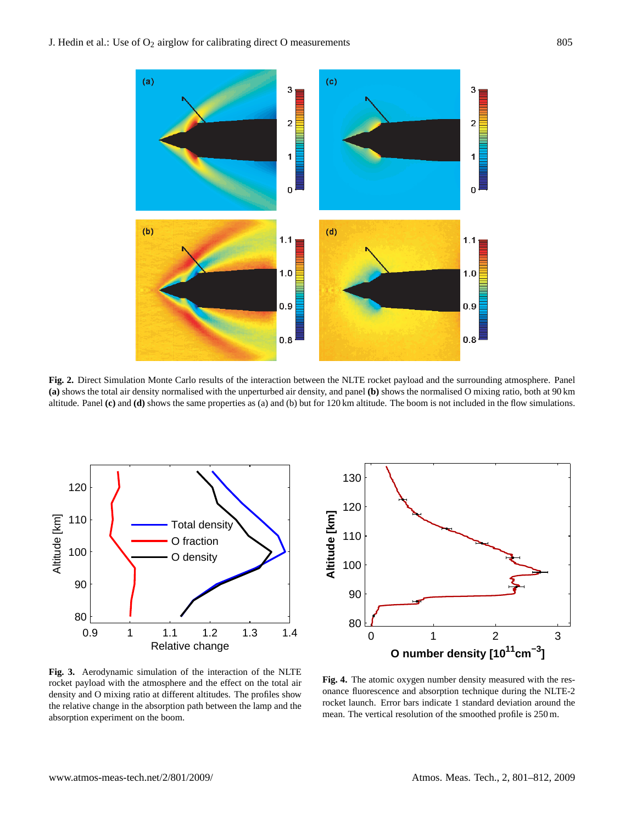

**Fig. 2.** Direct Simulation Monte Carlo results of the interaction between the NLTE rocket payload and the surrounding atmosphere. Panel **(a)** shows the total air density normalised with the unperturbed air density, and panel **(b)** shows the normalised O mixing ratio, both at 90 km altitude. Panel **(c)** and **(d)** shows the same properties as (a) and (b) but for 120 km altitude. The boom is not included in the flow simulations.





**Fig. 3.** Aerodynamic simulation of the interaction of the NLTE rocket payload with the atmosphere and the effect on the total air density and O mixing ratio at different altitudes. The profiles show the relative change in the absorption path between the lamp and the absorption experiment on the boom.

**Fig. 4.** The atomic oxygen number density measured with the resonance fluorescence and absorption technique during the NLTE-2 rocket launch. Error bars indicate 1 standard deviation around the mean. The vertical resolution of the smoothed profile is 250 m.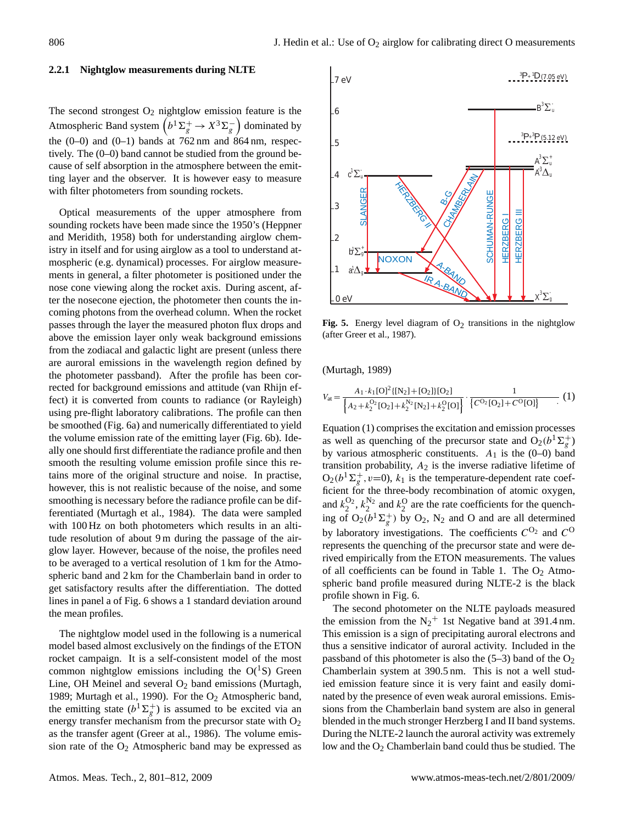#### **2.2.1 Nightglow measurements during NLTE**

The second strongest  $O_2$  nightglow emission feature is the Atmospheric Band system  $(b^1\Sigma_g^+ \rightarrow X^3\Sigma_g^-)$  dominated by the  $(0-0)$  and  $(0-1)$  bands at 762 nm and 864 nm, respectively. The (0–0) band cannot be studied from the ground because of self absorption in the atmosphere between the emitting layer and the observer. It is however easy to measure with filter photometers from sounding rockets.

Optical measurements of the upper atmosphere from sounding rockets have been made since the 1950's (Heppner and Meridith, 1958) both for understanding airglow chemistry in itself and for using airglow as a tool to understand atmospheric (e.g. dynamical) processes. For airglow measurements in general, a filter photometer is positioned under the nose cone viewing along the rocket axis. During ascent, after the nosecone ejection, the photometer then counts the incoming photons from the overhead column. When the rocket passes through the layer the measured photon flux drops and above the emission layer only weak background emissions from the zodiacal and galactic light are present (unless there are auroral emissions in the wavelength region defined by the photometer passband). After the profile has been corrected for background emissions and attitude (van Rhijn effect) it is converted from counts to radiance (or Rayleigh) using pre-flight laboratory calibrations. The profile can then be smoothed (Fig. 6a) and numerically differentiated to yield the volume emission rate of the emitting layer (Fig. 6b). Ideally one should first differentiate the radiance profile and then smooth the resulting volume emission profile since this retains more of the original structure and noise. In practise, however, this is not realistic because of the noise, and some smoothing is necessary before the radiance profile can be differentiated (Murtagh et al., 1984). The data were sampled with 100 Hz on both photometers which results in an altitude resolution of about 9 m during the passage of the airglow layer. However, because of the noise, the profiles need to be averaged to a vertical resolution of 1 km for the Atmospheric band and 2 km for the Chamberlain band in order to get satisfactory results after the differentiation. The dotted lines in panel a of Fig. 6 shows a 1 standard deviation around the mean profiles.

The nightglow model used in the following is a numerical model based almost exclusively on the findings of the ETON rocket campaign. It is a self-consistent model of the most common nightglow emissions including the  $O(^1S)$  Green Line, OH Meinel and several  $O<sub>2</sub>$  band emissions (Murtagh, 1989; Murtagh et al., 1990). For the O<sub>2</sub> Atmospheric band, the emitting state  $(b^1\Sigma_g^+)$  is assumed to be excited via an energy transfer mechanism from the precursor state with  $O<sub>2</sub>$ as the transfer agent (Greer at al., 1986). The volume emission rate of the  $O_2$  Atmospheric band may be expressed as



Fig. 5. Energy level diagram of  $O_2$  transitions in the nightglow (after Greer et al., 1987).

(Murtagh, 1989)

<span id="page-5-0"></span>
$$
V_{\text{at}} = \frac{A_1 \cdot k_1 [O]^2 \{ [N_2] + [O_2] \} [O_2]}{\left\{ A_2 + k_2^{O_2} [O_2] + k_2^{N_2} [N_2] + k_2^{O_2} [O] \right\}} \cdot \frac{1}{\left\{ C^{O_2} [O_2] + C^{O} [O] \right\}} \tag{1}
$$

Equation [\(1\)](#page-5-0) comprises the excitation and emission processes as well as quenching of the precursor state and  $O_2(b^1\Sigma_g^+)$ by various atmospheric constituents.  $A_1$  is the (0–0) band transition probability,  $A_2$  is the inverse radiative lifetime of  $O_2(b^1\Sigma_g^+, v=0)$ ,  $k_1$  is the temperature-dependent rate coefficient for the three-body recombination of atomic oxygen, and  $k_2^{O_2}$ ,  $k_2^{N_2}$  and  $k_2^O$  are the rate coefficients for the quenching of  $O_2(b^1\Sigma_g^+)$  by  $O_2$ , N<sub>2</sub> and O and are all determined by laboratory investigations. The coefficients  $C^{O_2}$  and  $C^{O_2}$ represents the quenching of the precursor state and were derived empirically from the ETON measurements. The values of all coefficients can be found in Table 1. The  $O_2$  Atmospheric band profile measured during NLTE-2 is the black profile shown in Fig. 6.

The second photometer on the NLTE payloads measured the emission from the  $N_2$ <sup>+</sup> 1st Negative band at 391.4 nm. This emission is a sign of precipitating auroral electrons and thus a sensitive indicator of auroral activity. Included in the passband of this photometer is also the  $(5-3)$  band of the  $O<sub>2</sub>$ Chamberlain system at 390.5 nm. This is not a well studied emission feature since it is very faint and easily dominated by the presence of even weak auroral emissions. Emissions from the Chamberlain band system are also in general blended in the much stronger Herzberg I and II band systems. During the NLTE-2 launch the auroral activity was extremely low and the O<sub>2</sub> Chamberlain band could thus be studied. The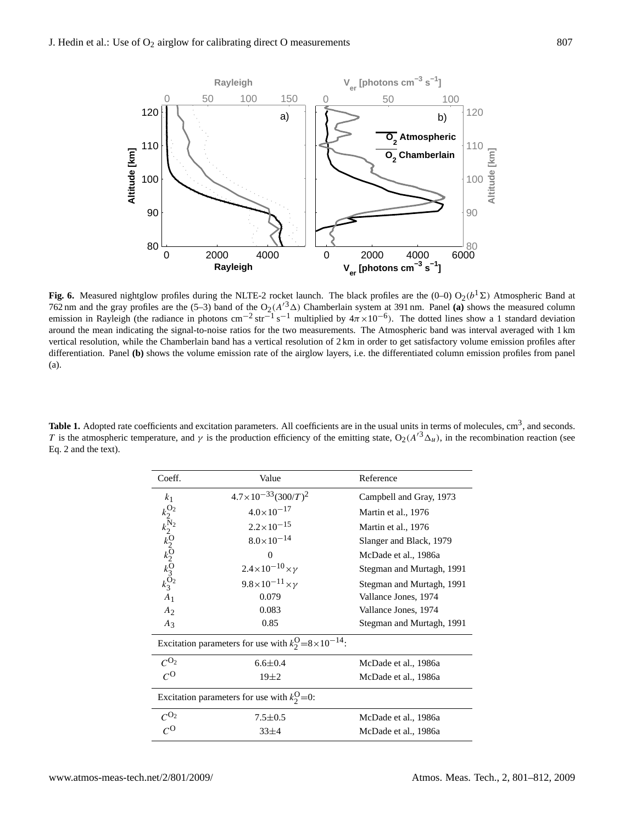

**Fig. 6.** Measured nightglow profiles during the NLTE-2 rocket launch. The black profiles are the  $(0-0) O_2(b^1\Sigma)$  Atmospheric Band at 762 nm and the gray profiles are the (5–3) band of the  $O_2(A^{3}\Delta)$  Chamberlain system at 391 nm. Panel **(a)** shows the measured column emission in Rayleigh (the radiance in photons cm<sup>-2</sup> str<sup>-1</sup> s<sup>-1</sup> multiplied by  $4\pi \times 10^{-6}$ ). The dotted lines show a 1 standard deviation around the mean indicating the signal-to-noise ratios for the two measurements. The Atmospheric band was interval averaged with 1 km vertical resolution, while the Chamberlain band has a vertical resolution of 2 km in order to get satisfactory volume emission profiles after differentiation. Panel **(b)** shows the volume emission rate of the airglow layers, i.e. the differentiated column emission profiles from panel (a).

Table 1. Adopted rate coefficients and excitation parameters. All coefficients are in the usual units in terms of molecules, cm<sup>3</sup>, and seconds. T is the atmospheric temperature, and  $\gamma$  is the production efficiency of the emitting state,  $O_2(A^{3}\Delta_{u})$ , in the recombination reaction (see Eq. 2 and the text).

| Coeff.                                                                  | Value                                                            | Reference                 |
|-------------------------------------------------------------------------|------------------------------------------------------------------|---------------------------|
| k <sub>1</sub>                                                          | $4.7 \times 10^{-33} (300/T)^2$                                  | Campbell and Gray, 1973   |
|                                                                         | $4.0 \times 10^{-17}$                                            | Martin et al., 1976       |
| $k_2^{O_2}$<br>$k_2^{N_2}$<br>$k_2^{O_2}$<br>$k_2^{O_2}$<br>$k_3^{O_2}$ | $2.2 \times 10^{-15}$                                            | Martin et al., 1976       |
|                                                                         | $8.0\times10^{-14}$                                              | Slanger and Black, 1979   |
|                                                                         | $\Omega$                                                         | McDade et al., 1986a      |
|                                                                         | $2.4 \times 10^{-10} \times \gamma$                              | Stegman and Murtagh, 1991 |
|                                                                         | $9.8 \times 10^{-11} \times \gamma$                              | Stegman and Murtagh, 1991 |
| A <sub>1</sub>                                                          | 0.079                                                            | Vallance Jones, 1974      |
| A <sub>2</sub>                                                          | 0.083                                                            | Vallance Jones, 1974      |
| $A_3$                                                                   | 0.85                                                             | Stegman and Murtagh, 1991 |
|                                                                         | Excitation parameters for use with $k_2^O = 8 \times 10^{-14}$ . |                           |
| $C^{O_2}$                                                               | $6.6 \pm 0.4$                                                    | McDade et al., 1986a      |
| $c^{\rm o}$                                                             | $19\pm2$                                                         | McDade et al., 1986a      |
|                                                                         | Excitation parameters for use with $k_2^O=0$ :                   |                           |
| $C^{O_2}$                                                               | $7.5 \pm 0.5$                                                    | McDade et al., 1986a      |
| $\mathcal{C}^{\mathbf{O}}$                                              | $33 + 4$                                                         | McDade et al., 1986a      |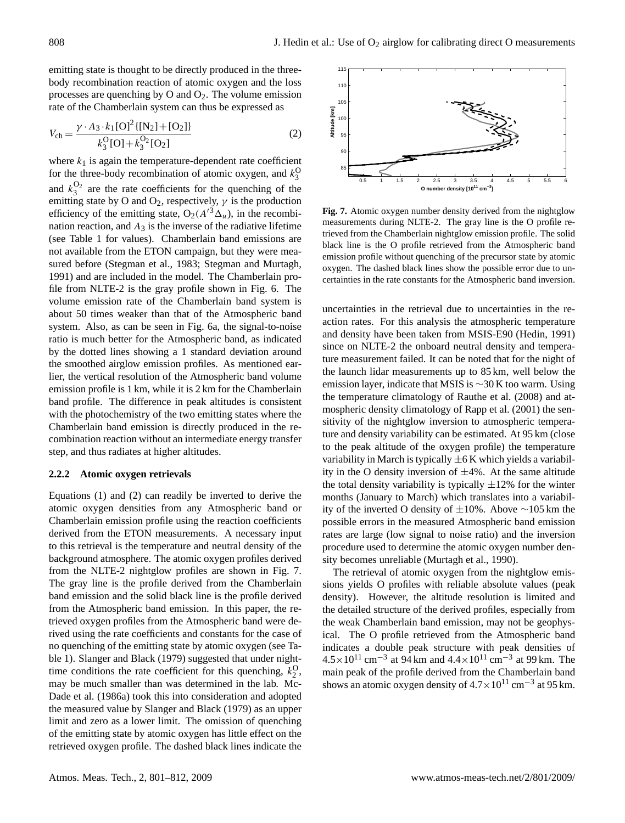emitting state is thought to be directly produced in the threebody recombination reaction of atomic oxygen and the loss processes are quenching by O and  $O_2$ . The volume emission rate of the Chamberlain system can thus be expressed as

<span id="page-7-0"></span>
$$
V_{\rm ch} = \frac{\gamma \cdot A_3 \cdot k_1 [O]^2 \{ [N_2] + [O_2] \}}{k_3^{\rm O} [O] + k_3^{\rm O_2} [O_2]}
$$
 (2)

where  $k_1$  is again the temperature-dependent rate coefficient for the three-body recombination of atomic oxygen, and  $k_3^0$ and  $k_3^{O_2}$  are the rate coefficients for the quenching of the emitting state by O and O<sub>2</sub>, respectively,  $\gamma$  is the production efficiency of the emitting state,  $O_2(A'^3\Delta_u)$ , in the recombination reaction, and  $A_3$  is the inverse of the radiative lifetime (see Table 1 for values). Chamberlain band emissions are not available from the ETON campaign, but they were measured before (Stegman et al., 1983; Stegman and Murtagh, 1991) and are included in the model. The Chamberlain profile from NLTE-2 is the gray profile shown in Fig. 6. The volume emission rate of the Chamberlain band system is about 50 times weaker than that of the Atmospheric band system. Also, as can be seen in Fig. 6a, the signal-to-noise ratio is much better for the Atmospheric band, as indicated by the dotted lines showing a 1 standard deviation around the smoothed airglow emission profiles. As mentioned earlier, the vertical resolution of the Atmospheric band volume emission profile is 1 km, while it is 2 km for the Chamberlain band profile. The difference in peak altitudes is consistent with the photochemistry of the two emitting states where the Chamberlain band emission is directly produced in the recombination reaction without an intermediate energy transfer step, and thus radiates at higher altitudes.

#### **2.2.2 Atomic oxygen retrievals**

Equations [\(1\)](#page-5-0) and [\(2\)](#page-7-0) can readily be inverted to derive the atomic oxygen densities from any Atmospheric band or Chamberlain emission profile using the reaction coefficients derived from the ETON measurements. A necessary input to this retrieval is the temperature and neutral density of the background atmosphere. The atomic oxygen profiles derived from the NLTE-2 nightglow profiles are shown in Fig. 7. The gray line is the profile derived from the Chamberlain band emission and the solid black line is the profile derived from the Atmospheric band emission. In this paper, the retrieved oxygen profiles from the Atmospheric band were derived using the rate coefficients and constants for the case of no quenching of the emitting state by atomic oxygen (see Table 1). Slanger and Black (1979) suggested that under nighttime conditions the rate coefficient for this quenching,  $k_2^O$ , may be much smaller than was determined in the lab. Mc-Dade et al. (1986a) took this into consideration and adopted the measured value by Slanger and Black (1979) as an upper limit and zero as a lower limit. The omission of quenching of the emitting state by atomic oxygen has little effect on the retrieved oxygen profile. The dashed black lines indicate the



**Fig. 7.** Atomic oxygen number density derived from the nightglow measurements during NLTE-2. The gray line is the O profile retrieved from the Chamberlain nightglow emission profile. The solid black line is the O profile retrieved from the Atmospheric band emission profile without quenching of the precursor state by atomic oxygen. The dashed black lines show the possible error due to uncertainties in the rate constants for the Atmospheric band inversion.

uncertainties in the retrieval due to uncertainties in the reaction rates. For this analysis the atmospheric temperature and density have been taken from MSIS-E90 (Hedin, 1991) since on NLTE-2 the onboard neutral density and temperature measurement failed. It can be noted that for the night of the launch lidar measurements up to 85 km, well below the emission layer, indicate that MSIS is ∼30 K too warm. Using the temperature climatology of Rauthe et al. (2008) and atmospheric density climatology of Rapp et al. (2001) the sensitivity of the nightglow inversion to atmospheric temperature and density variability can be estimated. At 95 km (close to the peak altitude of the oxygen profile) the temperature variability in March is typically  $\pm 6$  K which yields a variability in the O density inversion of  $\pm 4\%$ . At the same altitude the total density variability is typically  $\pm 12\%$  for the winter months (January to March) which translates into a variability of the inverted O density of ±10%. Above ∼105 km the possible errors in the measured Atmospheric band emission rates are large (low signal to noise ratio) and the inversion procedure used to determine the atomic oxygen number density becomes unreliable (Murtagh et al., 1990).

The retrieval of atomic oxygen from the nightglow emissions yields O profiles with reliable absolute values (peak density). However, the altitude resolution is limited and the detailed structure of the derived profiles, especially from the weak Chamberlain band emission, may not be geophysical. The O profile retrieved from the Atmospheric band indicates a double peak structure with peak densities of  $4.5 \times 10^{11}$  cm<sup>-3</sup> at 94 km and  $4.4 \times 10^{11}$  cm<sup>-3</sup> at 99 km. The main peak of the profile derived from the Chamberlain band shows an atomic oxygen density of  $4.7 \times 10^{11}$  cm<sup>-3</sup> at 95 km.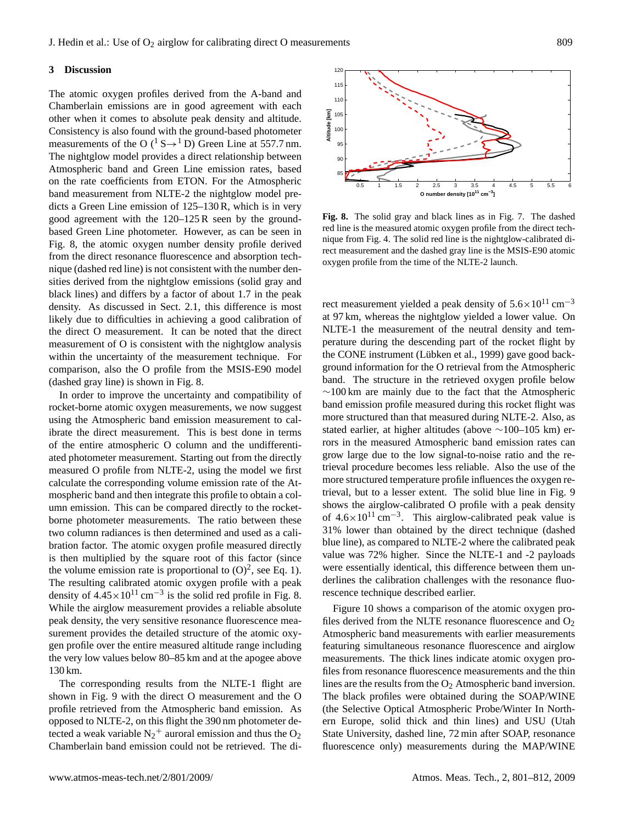## **3 Discussion**

The atomic oxygen profiles derived from the A-band and Chamberlain emissions are in good agreement with each other when it comes to absolute peak density and altitude. Consistency is also found with the ground-based photometer measurements of the O ( ${}^{1}S \rightarrow {}^{1}D$ ) Green Line at 557.7 nm. The nightglow model provides a direct relationship between Atmospheric band and Green Line emission rates, based on the rate coefficients from ETON. For the Atmospheric band measurement from NLTE-2 the nightglow model predicts a Green Line emission of 125–130 R, which is in very good agreement with the 120–125 R seen by the groundbased Green Line photometer. However, as can be seen in Fig. 8, the atomic oxygen number density profile derived from the direct resonance fluorescence and absorption technique (dashed red line) is not consistent with the number densities derived from the nightglow emissions (solid gray and black lines) and differs by a factor of about 1.7 in the peak density. As discussed in Sect. 2.1, this difference is most likely due to difficulties in achieving a good calibration of the direct O measurement. It can be noted that the direct measurement of O is consistent with the nightglow analysis within the uncertainty of the measurement technique. For comparison, also the O profile from the MSIS-E90 model (dashed gray line) is shown in Fig. 8.

In order to improve the uncertainty and compatibility of rocket-borne atomic oxygen measurements, we now suggest using the Atmospheric band emission measurement to calibrate the direct measurement. This is best done in terms of the entire atmospheric O column and the undifferentiated photometer measurement. Starting out from the directly measured O profile from NLTE-2, using the model we first calculate the corresponding volume emission rate of the Atmospheric band and then integrate this profile to obtain a column emission. This can be compared directly to the rocketborne photometer measurements. The ratio between these two column radiances is then determined and used as a calibration factor. The atomic oxygen profile measured directly is then multiplied by the square root of this factor (since the volume emission rate is proportional to  $(O)^2$ , see Eq. 1). The resulting calibrated atomic oxygen profile with a peak density of  $4.45 \times 10^{11}$  cm<sup>-3</sup> is the solid red profile in Fig. 8. While the airglow measurement provides a reliable absolute peak density, the very sensitive resonance fluorescence measurement provides the detailed structure of the atomic oxygen profile over the entire measured altitude range including the very low values below 80–85 km and at the apogee above 130 km.

The corresponding results from the NLTE-1 flight are shown in Fig. 9 with the direct O measurement and the O profile retrieved from the Atmospheric band emission. As opposed to NLTE-2, on this flight the 390 nm photometer detected a weak variable  $N_2$ <sup>+</sup> auroral emission and thus the O<sub>2</sub> Chamberlain band emission could not be retrieved. The di-



**Fig. 8.** The solid gray and black lines as in Fig. 7. The dashed red line is the measured atomic oxygen profile from the direct technique from Fig. 4. The solid red line is the nightglow-calibrated direct measurement and the dashed gray line is the MSIS-E90 atomic oxygen profile from the time of the NLTE-2 launch.

rect measurement yielded a peak density of  $5.6 \times 10^{11}$  cm<sup>-3</sup> at 97 km, whereas the nightglow yielded a lower value. On NLTE-1 the measurement of the neutral density and temperature during the descending part of the rocket flight by the CONE instrument (Lübken et al., 1999) gave good background information for the O retrieval from the Atmospheric band. The structure in the retrieved oxygen profile below ∼100 km are mainly due to the fact that the Atmospheric band emission profile measured during this rocket flight was more structured than that measured during NLTE-2. Also, as stated earlier, at higher altitudes (above ∼100–105 km) errors in the measured Atmospheric band emission rates can grow large due to the low signal-to-noise ratio and the retrieval procedure becomes less reliable. Also the use of the more structured temperature profile influences the oxygen retrieval, but to a lesser extent. The solid blue line in Fig. 9 shows the airglow-calibrated O profile with a peak density of  $4.6 \times 10^{11}$  cm<sup>-3</sup>. This airglow-calibrated peak value is 31% lower than obtained by the direct technique (dashed blue line), as compared to NLTE-2 where the calibrated peak value was 72% higher. Since the NLTE-1 and -2 payloads were essentially identical, this difference between them underlines the calibration challenges with the resonance fluorescence technique described earlier.

Figure 10 shows a comparison of the atomic oxygen profiles derived from the NLTE resonance fluorescence and  $O_2$ Atmospheric band measurements with earlier measurements featuring simultaneous resonance fluorescence and airglow measurements. The thick lines indicate atomic oxygen profiles from resonance fluorescence measurements and the thin lines are the results from the  $O<sub>2</sub>$  Atmospheric band inversion. The black profiles were obtained during the SOAP/WINE (the Selective Optical Atmospheric Probe/Winter In Northern Europe, solid thick and thin lines) and USU (Utah State University, dashed line, 72 min after SOAP, resonance fluorescence only) measurements during the MAP/WINE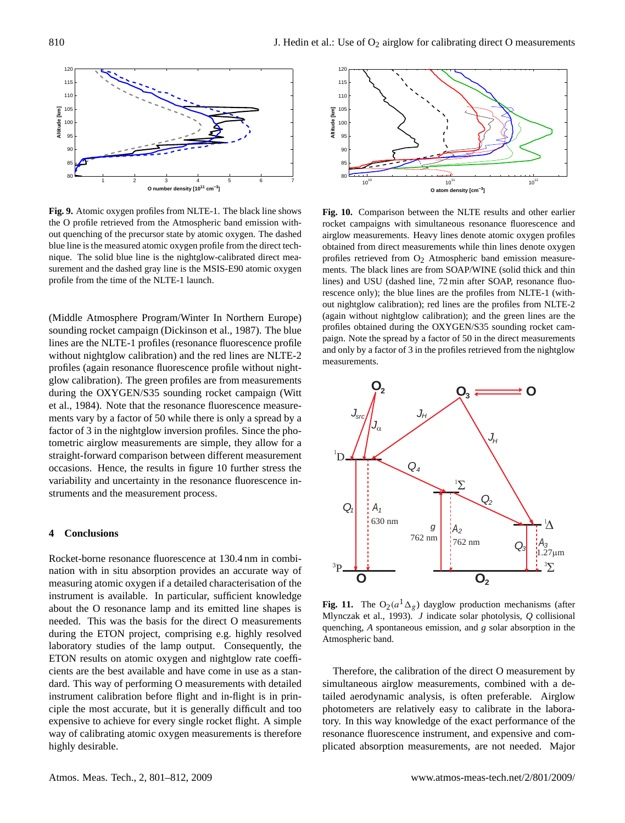

**Fig. 9.** Atomic oxygen profiles from NLTE-1. The black line shows the O profile retrieved from the Atmospheric band emission without quenching of the precursor state by atomic oxygen. The dashed blue line is the measured atomic oxygen profile from the direct technique. The solid blue line is the nightglow-calibrated direct measurement and the dashed gray line is the MSIS-E90 atomic oxygen profile from the time of the NLTE-1 launch.

(Middle Atmosphere Program/Winter In Northern Europe) sounding rocket campaign (Dickinson et al., 1987). The blue lines are the NLTE-1 profiles (resonance fluorescence profile without nightglow calibration) and the red lines are NLTE-2 profiles (again resonance fluorescence profile without nightglow calibration). The green profiles are from measurements during the OXYGEN/S35 sounding rocket campaign (Witt et al., 1984). Note that the resonance fluorescence measurements vary by a factor of 50 while there is only a spread by a factor of 3 in the nightglow inversion profiles. Since the photometric airglow measurements are simple, they allow for a straight-forward comparison between different measurement occasions. Hence, the results in figure 10 further stress the variability and uncertainty in the resonance fluorescence instruments and the measurement process.

#### **4 Conclusions**

Rocket-borne resonance fluorescence at 130.4 nm in combination with in situ absorption provides an accurate way of measuring atomic oxygen if a detailed characterisation of the instrument is available. In particular, sufficient knowledge about the O resonance lamp and its emitted line shapes is needed. This was the basis for the direct O measurements during the ETON project, comprising e.g. highly resolved laboratory studies of the lamp output. Consequently, the ETON results on atomic oxygen and nightglow rate coefficients are the best available and have come in use as a standard. This way of performing O measurements with detailed instrument calibration before flight and in-flight is in principle the most accurate, but it is generally difficult and too expensive to achieve for every single rocket flight. A simple way of calibrating atomic oxygen measurements is therefore highly desirable.



**Fig. 10.** Comparison between the NLTE results and other earlier rocket campaigns with simultaneous resonance fluorescence and airglow measurements. Heavy lines denote atomic oxygen profiles obtained from direct measurements while thin lines denote oxygen profiles retrieved from  $O_2$  Atmospheric band emission measurements. The black lines are from SOAP/WINE (solid thick and thin lines) and USU (dashed line, 72 min after SOAP, resonance fluorescence only); the blue lines are the profiles from NLTE-1 (without nightglow calibration); red lines are the profiles from NLTE-2 (again without nightglow calibration); and the green lines are the profiles obtained during the OXYGEN/S35 sounding rocket campaign. Note the spread by a factor of 50 in the direct measurements and only by a factor of 3 in the profiles retrieved from the nightglow measurements.



**Fig. 11.** The  $O_2(a^1\Delta_g)$  dayglow production mechanisms (after Mlynczak et al., 1993). *J* indicate solar photolysis, *Q* collisional quenching, *A* spontaneous emission, and *g* solar absorption in the Atmospheric band.

Therefore, the calibration of the direct O measurement by simultaneous airglow measurements, combined with a detailed aerodynamic analysis, is often preferable. Airglow photometers are relatively easy to calibrate in the laboratory. In this way knowledge of the exact performance of the resonance fluorescence instrument, and expensive and complicated absorption measurements, are not needed. Major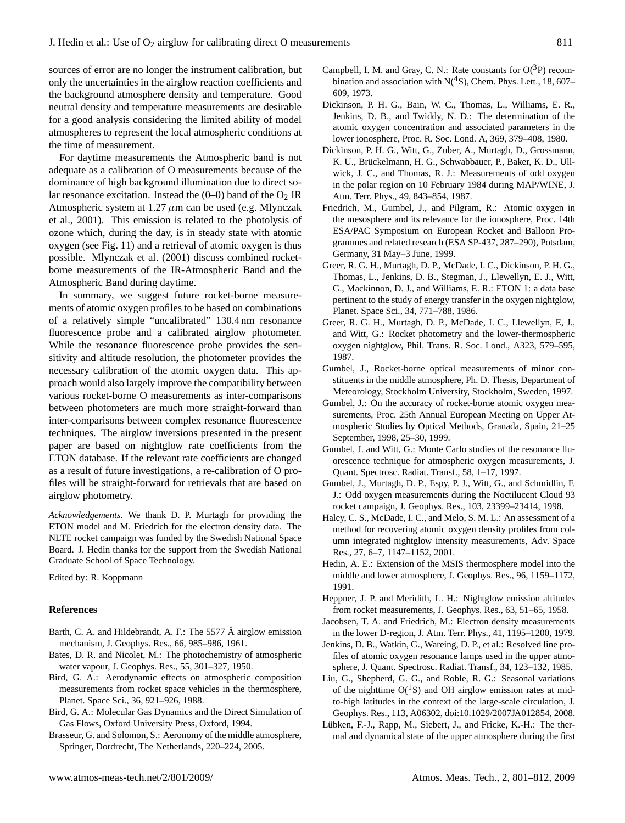sources of error are no longer the instrument calibration, but only the uncertainties in the airglow reaction coefficients and the background atmosphere density and temperature. Good neutral density and temperature measurements are desirable for a good analysis considering the limited ability of model atmospheres to represent the local atmospheric conditions at the time of measurement.

For daytime measurements the Atmospheric band is not adequate as a calibration of O measurements because of the dominance of high background illumination due to direct solar resonance excitation. Instead the  $(0-0)$  band of the  $O<sub>2</sub>$  IR Atmospheric system at  $1.27 \mu$ m can be used (e.g. Mlynczak et al., 2001). This emission is related to the photolysis of ozone which, during the day, is in steady state with atomic oxygen (see Fig. 11) and a retrieval of atomic oxygen is thus possible. Mlynczak et al. (2001) discuss combined rocketborne measurements of the IR-Atmospheric Band and the Atmospheric Band during daytime.

In summary, we suggest future rocket-borne measurements of atomic oxygen profiles to be based on combinations of a relatively simple "uncalibrated" 130.4 nm resonance fluorescence probe and a calibrated airglow photometer. While the resonance fluorescence probe provides the sensitivity and altitude resolution, the photometer provides the necessary calibration of the atomic oxygen data. This approach would also largely improve the compatibility between various rocket-borne O measurements as inter-comparisons between photometers are much more straight-forward than inter-comparisons between complex resonance fluorescence techniques. The airglow inversions presented in the present paper are based on nightglow rate coefficients from the ETON database. If the relevant rate coefficients are changed as a result of future investigations, a re-calibration of O profiles will be straight-forward for retrievals that are based on airglow photometry.

*Acknowledgements.* We thank D. P. Murtagh for providing the ETON model and M. Friedrich for the electron density data. The NLTE rocket campaign was funded by the Swedish National Space Board. J. Hedin thanks for the support from the Swedish National Graduate School of Space Technology.

Edited by: R. Koppmann

## **References**

- Barth, C. A. and Hildebrandt, A. F.: The 5577 Å airglow emission mechanism, J. Geophys. Res., 66, 985–986, 1961.
- Bates, D. R. and Nicolet, M.: The photochemistry of atmospheric water vapour, J. Geophys. Res., 55, 301–327, 1950.
- Bird, G. A.: Aerodynamic effects on atmospheric composition measurements from rocket space vehicles in the thermosphere, Planet. Space Sci., 36, 921–926, 1988.
- Bird, G. A.: Molecular Gas Dynamics and the Direct Simulation of Gas Flows, Oxford University Press, Oxford, 1994.
- Brasseur, G. and Solomon, S.: Aeronomy of the middle atmosphere, Springer, Dordrecht, The Netherlands, 220–224, 2005.
- Campbell, I. M. and Gray, C. N.: Rate constants for  $O(^3P)$  recombination and association with  $N(^4S)$ , Chem. Phys. Lett., 18, 607– 609, 1973.
- Dickinson, P. H. G., Bain, W. C., Thomas, L., Williams, E. R., Jenkins, D. B., and Twiddy, N. D.: The determination of the atomic oxygen concentration and associated parameters in the lower ionosphere, Proc. R. Soc. Lond. A, 369, 379–408, 1980.
- Dickinson, P. H. G., Witt, G., Zuber, A., Murtagh, D., Grossmann, K. U., Brückelmann, H. G., Schwabbauer, P., Baker, K. D., Ullwick, J. C., and Thomas, R. J.: Measurements of odd oxygen in the polar region on 10 February 1984 during MAP/WINE, J. Atm. Terr. Phys., 49, 843–854, 1987.
- Friedrich, M., Gumbel, J., and Pilgram, R.: Atomic oxygen in the mesosphere and its relevance for the ionosphere, Proc. 14th ESA/PAC Symposium on European Rocket and Balloon Programmes and related research (ESA SP-437, 287–290), Potsdam, Germany, 31 May–3 June, 1999.
- Greer, R. G. H., Murtagh, D. P., McDade, I. C., Dickinson, P. H. G., Thomas, L., Jenkins, D. B., Stegman, J., Llewellyn, E. J., Witt, G., Mackinnon, D. J., and Williams, E. R.: ETON 1: a data base pertinent to the study of energy transfer in the oxygen nightglow, Planet. Space Sci., 34, 771–788, 1986.
- Greer, R. G. H., Murtagh, D. P., McDade, I. C., Llewellyn, E, J., and Witt, G.: Rocket photometry and the lower-thermospheric oxygen nightglow, Phil. Trans. R. Soc. Lond., A323, 579–595, 1987.
- Gumbel, J., Rocket-borne optical measurements of minor constituents in the middle atmosphere, Ph. D. Thesis, Department of Meteorology, Stockholm University, Stockholm, Sweden, 1997.
- Gumbel, J.: On the accuracy of rocket-borne atomic oxygen measurements, Proc. 25th Annual European Meeting on Upper Atmospheric Studies by Optical Methods, Granada, Spain, 21–25 September, 1998, 25–30, 1999.
- Gumbel, J. and Witt, G.: Monte Carlo studies of the resonance fluorescence technique for atmospheric oxygen measurements, J. Quant. Spectrosc. Radiat. Transf., 58, 1–17, 1997.
- Gumbel, J., Murtagh, D. P., Espy, P. J., Witt, G., and Schmidlin, F. J.: Odd oxygen measurements during the Noctilucent Cloud 93 rocket campaign, J. Geophys. Res., 103, 23399–23414, 1998.
- Haley, C. S., McDade, I. C., and Melo, S. M. L.: An assessment of a method for recovering atomic oxygen density profiles from column integrated nightglow intensity measurements, Adv. Space Res., 27, 6–7, 1147–1152, 2001.
- Hedin, A. E.: Extension of the MSIS thermosphere model into the middle and lower atmosphere, J. Geophys. Res., 96, 1159–1172, 1991.
- Heppner, J. P. and Meridith, L. H.: Nightglow emission altitudes from rocket measurements, J. Geophys. Res., 63, 51–65, 1958.
- Jacobsen, T. A. and Friedrich, M.: Electron density measurements in the lower D-region, J. Atm. Terr. Phys., 41, 1195–1200, 1979.
- Jenkins, D. B., Watkin, G., Wareing, D. P., et al.: Resolved line profiles of atomic oxygen resonance lamps used in the upper atmosphere, J. Quant. Spectrosc. Radiat. Transf., 34, 123–132, 1985.
- Liu, G., Shepherd, G. G., and Roble, R. G.: Seasonal variations of the nighttime  $O(^{1}S)$  and OH airglow emission rates at midto-high latitudes in the context of the large-scale circulation, J. Geophys. Res., 113, A06302, doi:10.1029/2007JA012854, 2008.
- Lübken, F.-J., Rapp, M., Siebert, J., and Fricke, K.-H.: The thermal and dynamical state of the upper atmosphere during the first